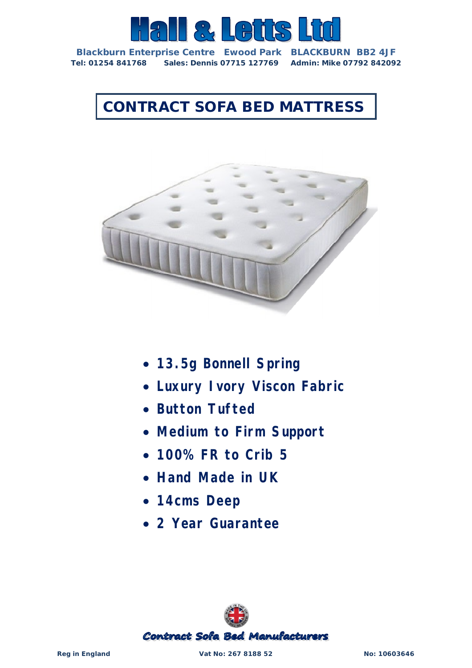

**Blackburn Enterprise Centre Ewood Park BLACKBURN BB2 4JF Tel: 01254 841768 Sales: Dennis 07715 127769 Admin: Mike 07792 842092**

## **CONTRACT SOFA BED MATTRESS**



- *13.5g Bonnell Spring*
- *Luxury Ivory Viscon Fabric*
- *Button Tufted*
- *Medium to Firm Support*
- *100% FR to Crib 5*
- *Hand Made in UK*
- *14cms Deep*
- *2 Year Guarantee*